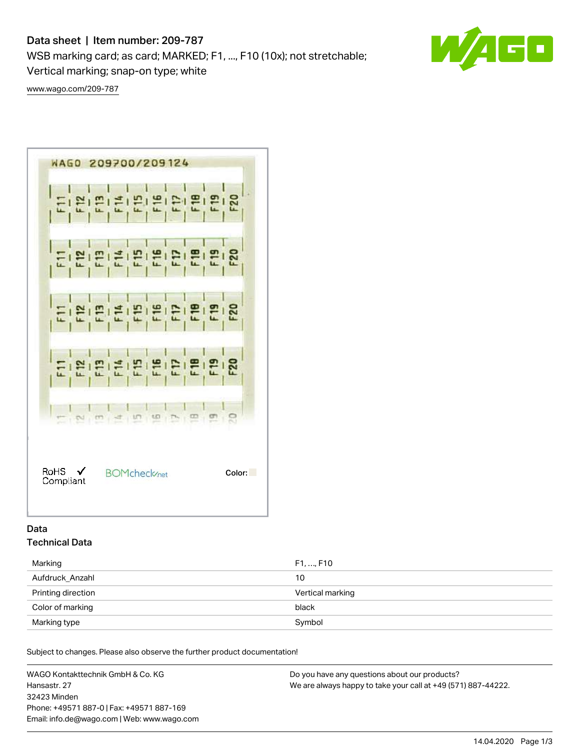# Data sheet | Item number: 209-787

WSB marking card; as card; MARKED; F1, ..., F10 (10x); not stretchable;

Vertical marking; snap-on type; white

[www.wago.com/209-787](http://www.wago.com/209-787)



# Data Technical Data

| Marking            | F1, , F10        |
|--------------------|------------------|
| Aufdruck Anzahl    | 10               |
| Printing direction | Vertical marking |
| Color of marking   | black            |
| Marking type       | Symbol           |

Subject to changes. Please also observe the further product documentation!

WAGO Kontakttechnik GmbH & Co. KG Hansastr. 27 32423 Minden Phone: +49571 887-0 | Fax: +49571 887-169 Email: info.de@wago.com | Web: www.wago.com Do you have any questions about our products? We are always happy to take your call at +49 (571) 887-44222.

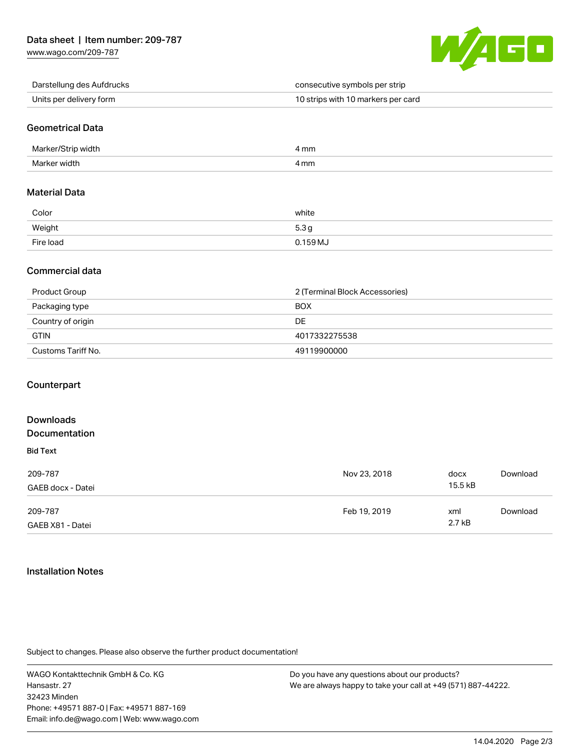[www.wago.com/209-787](http://www.wago.com/209-787)



| Darstellung des Aufdrucks | consecutive symbols per strip      |
|---------------------------|------------------------------------|
| Units per delivery form   | 10 strips with 10 markers per card |

# Geometrical Data

| Marker/Strip width | 4 mm |
|--------------------|------|
| Marker width       | 4 mm |

### Material Data

| Color     | white    |
|-----------|----------|
| Weight    | 5.3 c    |
| Fire load | 0.159 MJ |

# Commercial data

| Product Group      | 2 (Terminal Block Accessories) |
|--------------------|--------------------------------|
| Packaging type     | <b>BOX</b>                     |
| Country of origin  | DE                             |
| <b>GTIN</b>        | 4017332275538                  |
| Customs Tariff No. | 49119900000                    |

### **Counterpart**

#### Downloads Documentation Bid Text 209-787 GAEB docx - Datei Nov 23, 2018 docx 15.5 kB [Download](https://www.wago.com/de/d/2247643) 209-787 GAEB X81 - Datei Feb 19, 2019 xml 2.7 kB [Download](https://www.wago.com/de/d/2247723)

### Installation Notes

Subject to changes. Please also observe the further product documentation!

WAGO Kontakttechnik GmbH & Co. KG Hansastr. 27 32423 Minden Phone: +49571 887-0 | Fax: +49571 887-169 Email: info.de@wago.com | Web: www.wago.com

Do you have any questions about our products? We are always happy to take your call at +49 (571) 887-44222.